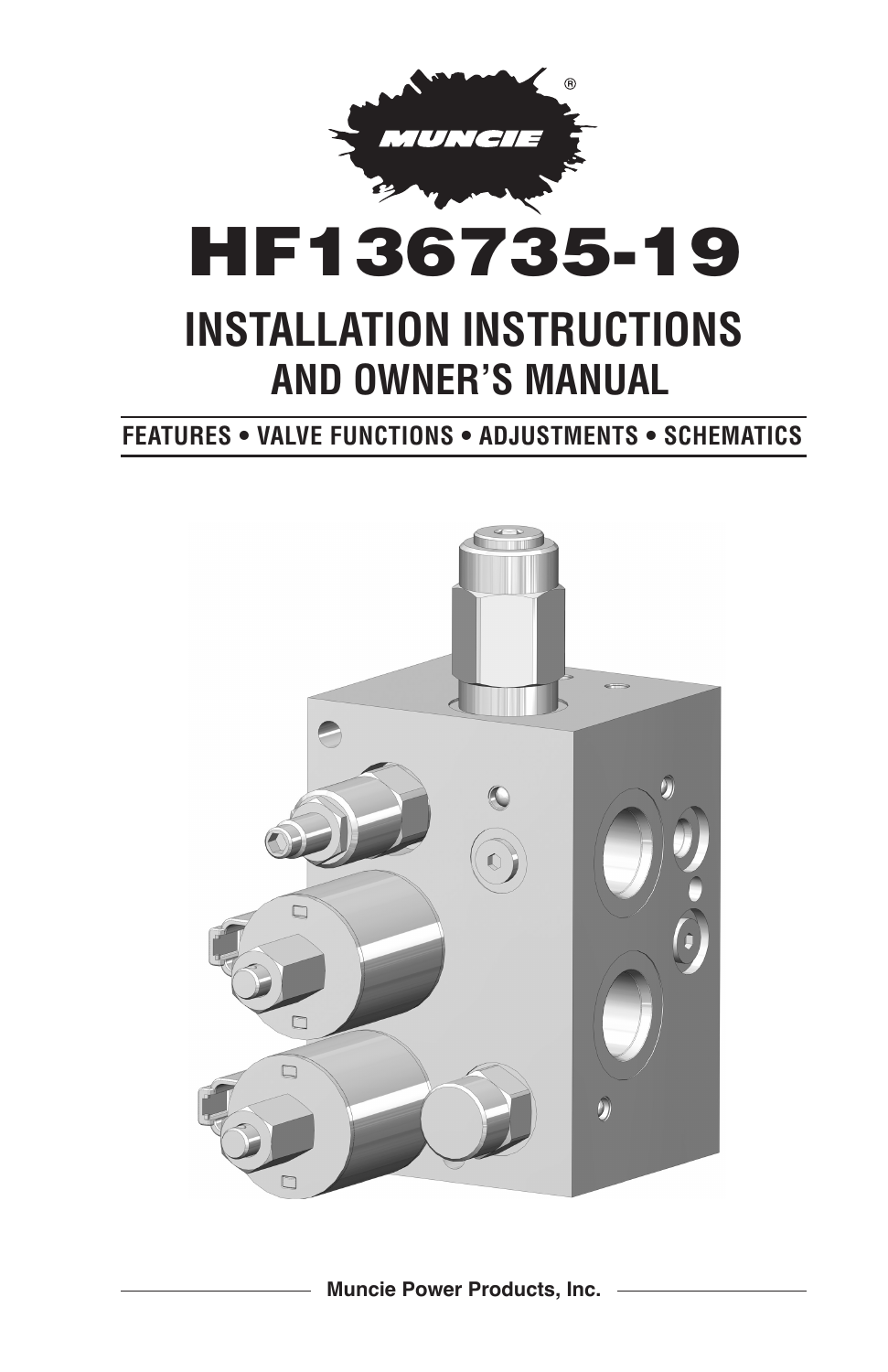

## **FEATURES • VALVE FUNCTIONS • ADJUSTMENTS • SCHEMATICS**



**Muncie Power Products, Inc.**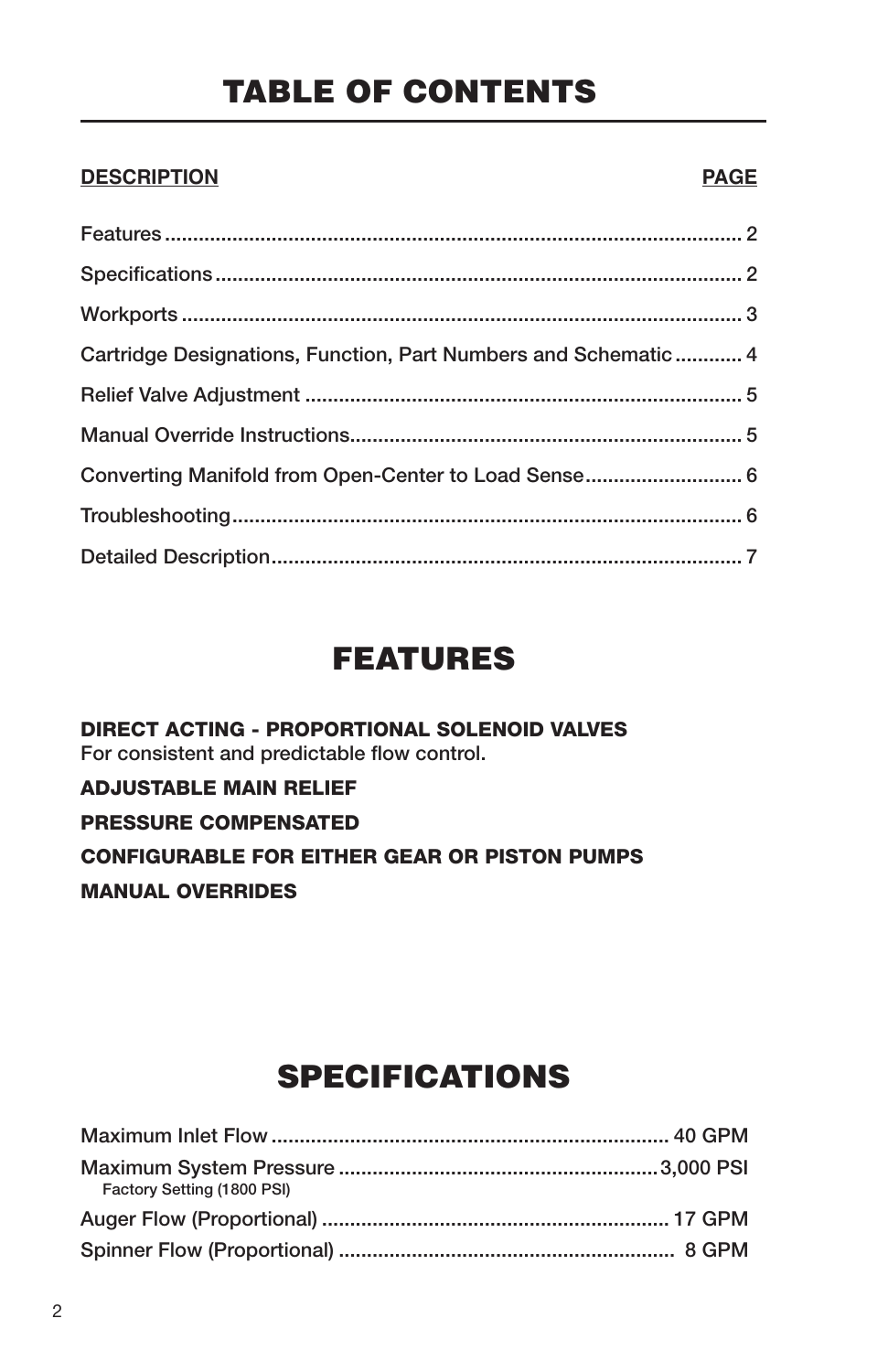# TABLE OF CONTENTS

## **DESCRIPTION PAGE**

| Cartridge Designations, Function, Part Numbers and Schematic  4 |  |
|-----------------------------------------------------------------|--|
|                                                                 |  |
|                                                                 |  |
| Converting Manifold from Open-Center to Load Sense 6            |  |
|                                                                 |  |
|                                                                 |  |

## FEATURES

DIRECT ACTING - PROPORTIONAL SOLENOID VALVES For consistent and predictable flow control. ADJUSTABLE MAIN RELIEF

## PRESSURE COMPENSATED

CONFIGURABLE FOR EITHER GEAR OR PISTON PUMPS MANUAL OVERRIDES

# SPECIFICATIONS

| Factory Setting (1800 PSI) |  |
|----------------------------|--|
|                            |  |
|                            |  |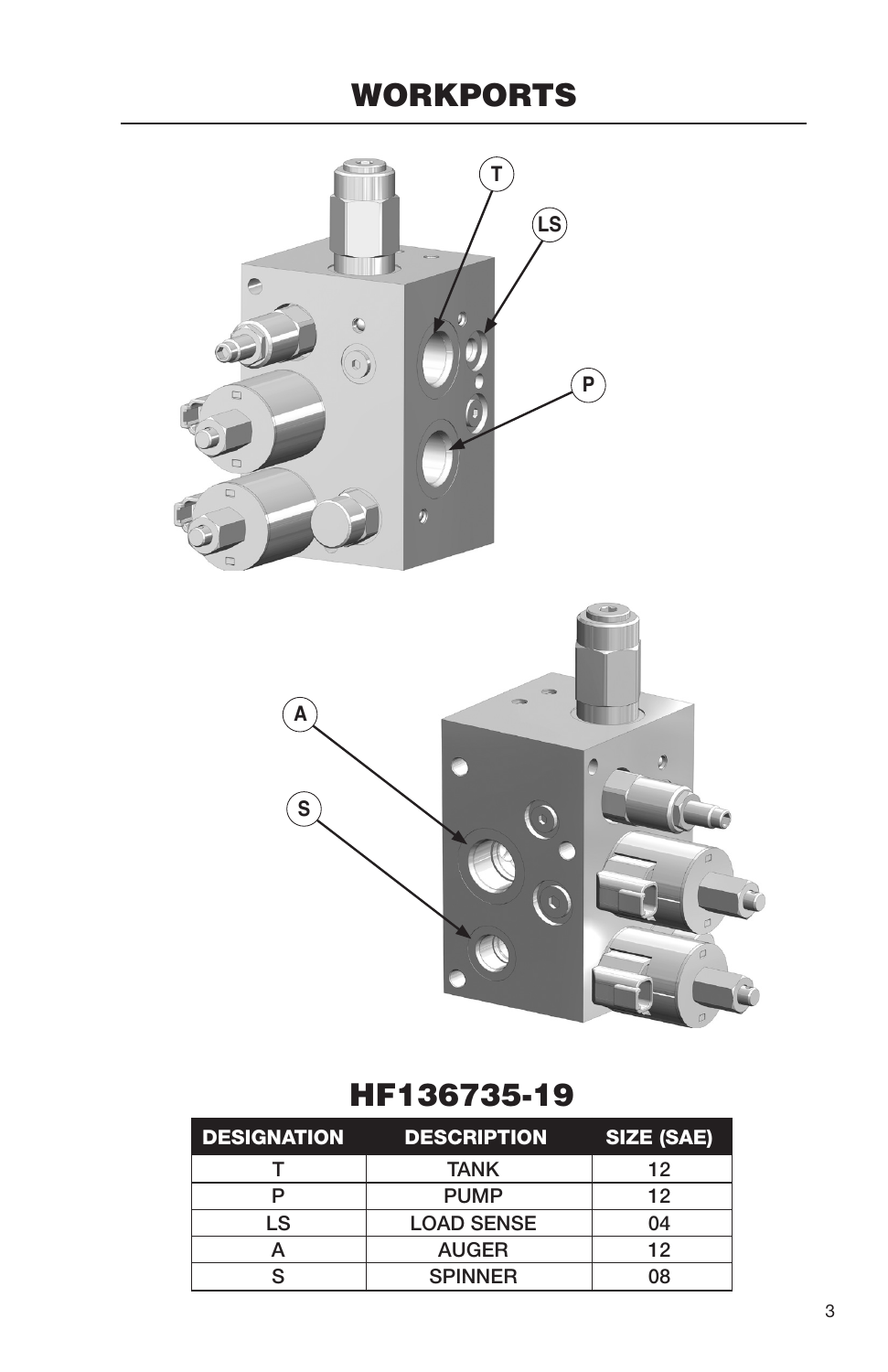# WORKPORTS





## HF136735-19

| <b>DESIGNATION</b> | <b>DESCRIPTION</b> | SIZE (SAE) |
|--------------------|--------------------|------------|
|                    | TANK               | 12         |
|                    | <b>PUMP</b>        | 12         |
| LS                 | <b>LOAD SENSE</b>  | 04         |
|                    | <b>AUGER</b>       | 12         |
|                    | <b>SPINNER</b>     | 08         |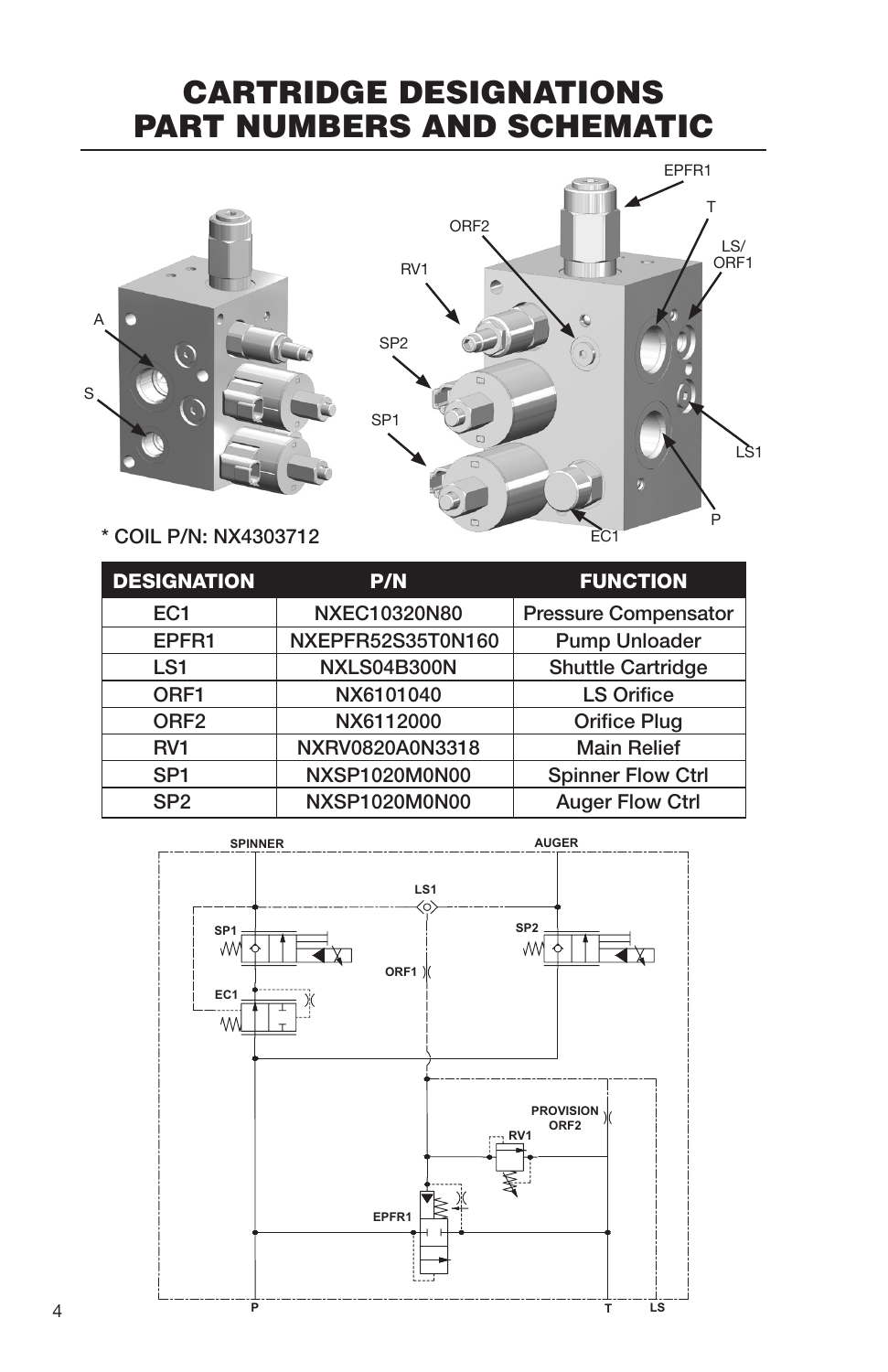## CARTRIDGE DESIGNATIONS PART NUMBERS AND SCHEMATIC





\* COIL P/N: NX4303712

| <b>DESIGNATION</b> | P/N                 | <b>FUNCTION</b>             |
|--------------------|---------------------|-----------------------------|
| EC <sub>1</sub>    | <b>NXEC10320N80</b> | <b>Pressure Compensator</b> |
| EPFR1              | NXEPFR52S35T0N160   | <b>Pump Unloader</b>        |
| LS <sub>1</sub>    | NXLS04B300N         | <b>Shuttle Cartridge</b>    |
| ORF <sub>1</sub>   | NX6101040           | <b>LS Orifice</b>           |
| ORF <sub>2</sub>   | NX6112000           | <b>Orifice Plug</b>         |
| RV <sub>1</sub>    | NXRV0820A0N3318     | <b>Main Relief</b>          |
| SP <sub>1</sub>    | NXSP1020M0N00       | <b>Spinner Flow Ctrl</b>    |
| SP <sub>2</sub>    | NXSP1020M0N00       | <b>Auger Flow Ctrl</b>      |

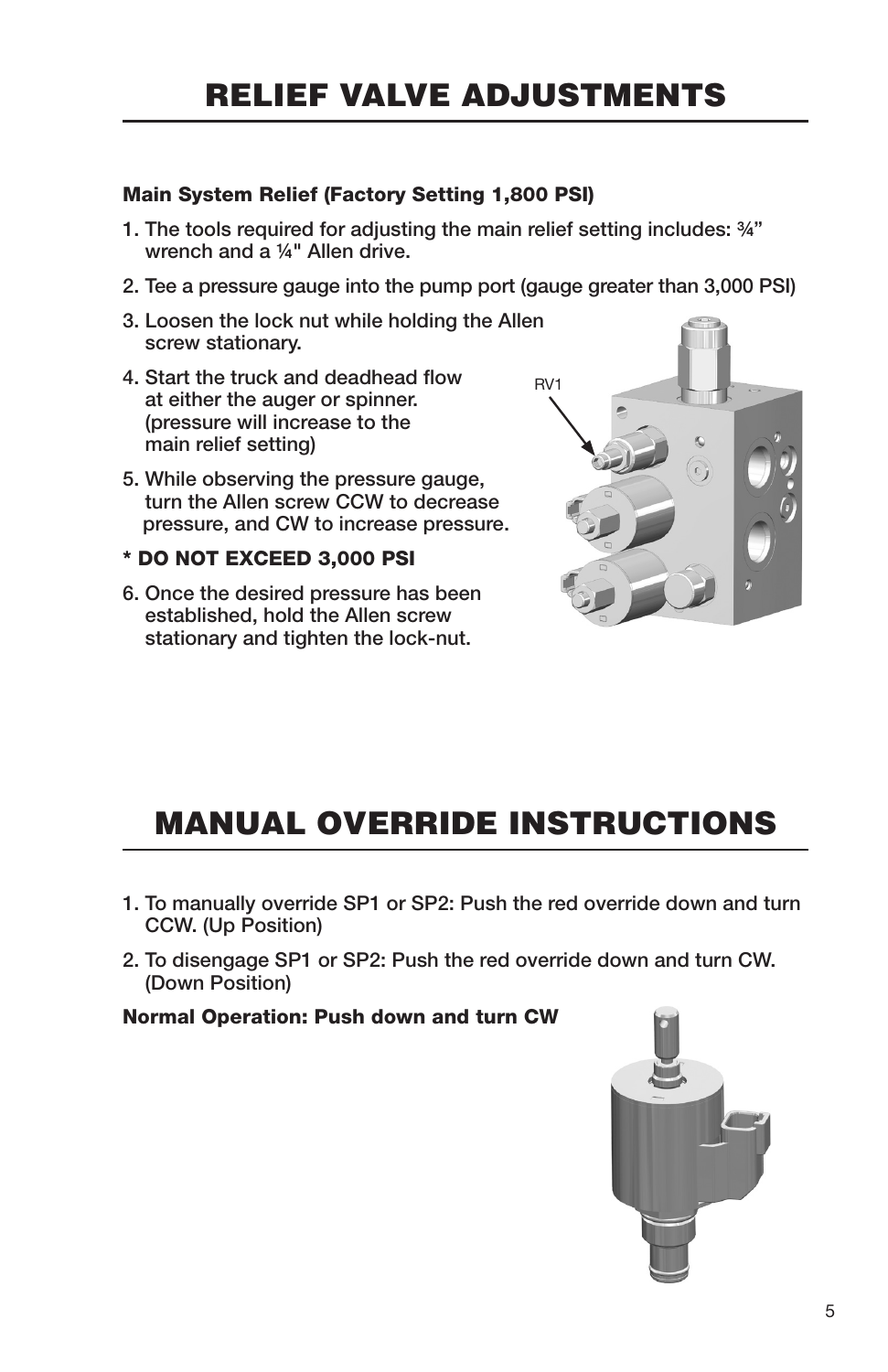# RELIEF VALVE ADJUSTMENTS

### Main System Relief (Factory Setting 1,800 PSI)

- 1. The tools required for adjusting the main relief setting includes: ¾" wrench and a ¼" Allen drive.
- 2. Tee a pressure gauge into the pump port (gauge greater than 3,000 PSI)
- 3. Loosen the lock nut while holding the Allen screw stationary.
- 4. Start the truck and deadhead flow at either the auger or spinner. (pressure will increase to the main relief setting)
- 5. While observing the pressure gauge, turn the Allen screw CCW to decrease pressure, and CW to increase pressure.
- \* DO NOT EXCEED 3,000 PSI
- 6. Once the desired pressure has been established, hold the Allen screw stationary and tighten the lock-nut.



# MANUAL OVERRIDE INSTRUCTIONS

- 1. To manually override SP1 or SP2: Push the red override down and turn CCW. (Up Position)
- 2. To disengage SP1 or SP2: Push the red override down and turn CW. (Down Position)

Normal Operation: Push down and turn CW

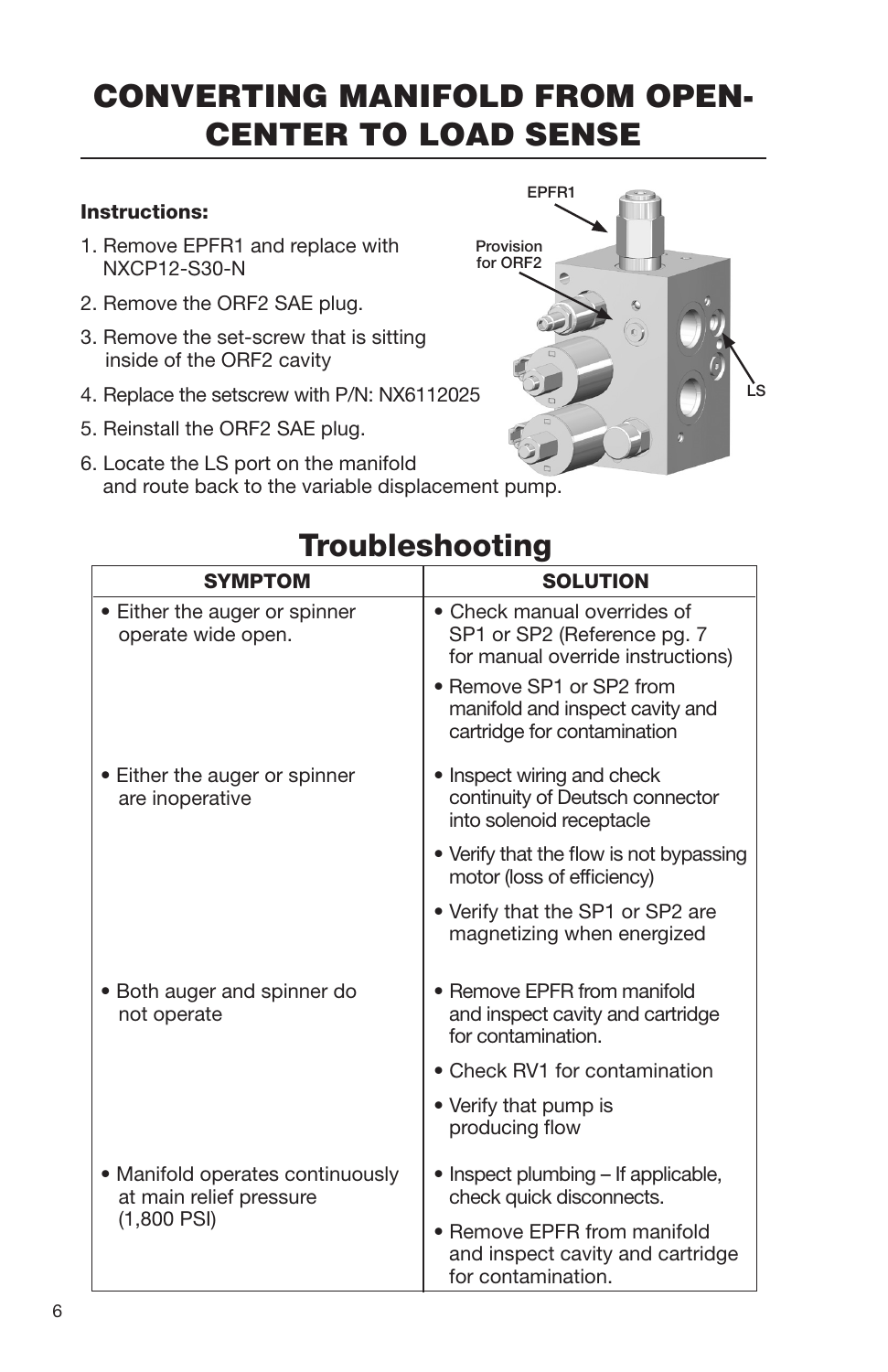# CONVERTING MANIFOLD FROM OPEN-CENTER TO LOAD SENSE

### Instructions:

- 1. Remove EPFR1 and replace with NXCP12-S30-N
- 2. Remove the ORF2 SAE plug.
- 3. Remove the set-screw that is sitting inside of the ORF2 cavity
- 4. Replace the setscrew with P/N: NX6112025
- 5. Reinstall the ORF2 SAE plug.
- 6. Locate the LS port on the manifold and route back to the variable displacement pump.



## Troubleshooting

| <b>SYMPTOM</b>                                                               | <b>SOLUTION</b>                                                                                 |
|------------------------------------------------------------------------------|-------------------------------------------------------------------------------------------------|
| • Either the auger or spinner<br>operate wide open.                          | • Check manual overrides of<br>SP1 or SP2 (Reference pg. 7<br>for manual override instructions) |
|                                                                              | • Remove SP1 or SP2 from<br>manifold and inspect cavity and<br>cartridge for contamination      |
| • Either the auger or spinner<br>are inoperative                             | • Inspect wiring and check<br>continuity of Deutsch connector<br>into solenoid receptacle       |
|                                                                              | • Verify that the flow is not bypassing<br>motor (loss of efficiency)                           |
|                                                                              | • Verify that the SP1 or SP2 are<br>magnetizing when energized                                  |
| · Both auger and spinner do<br>not operate                                   | • Remove EPFR from manifold<br>and inspect cavity and cartridge<br>for contamination.           |
|                                                                              | • Check RV1 for contamination                                                                   |
|                                                                              | • Verify that pump is<br>producing flow                                                         |
| • Manifold operates continuously<br>at main relief pressure<br>$(1,800$ PSI) | • Inspect plumbing – If applicable,<br>check quick disconnects.                                 |
|                                                                              | • Remove EPFR from manifold<br>and inspect cavity and cartridge<br>for contamination.           |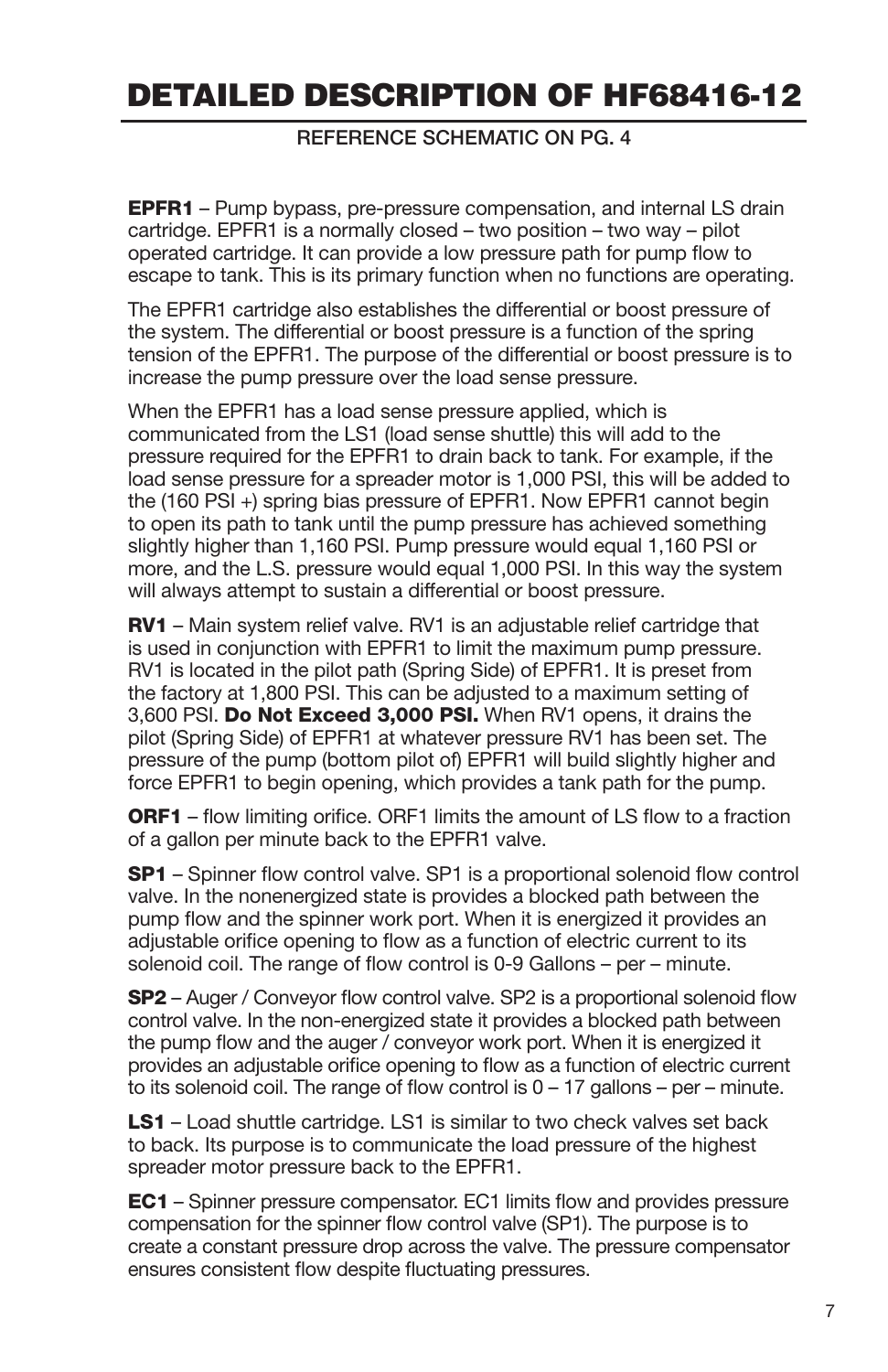## DETAILED DESCRIPTION OF HF68416-12

REFERENCE SCHEMATIC ON PG. 4

**EPFR1** – Pump bypass, pre-pressure compensation, and internal LS drain cartridge. EPFR1 is a normally closed – two position – two way – pilot operated cartridge. It can provide a low pressure path for pump flow to escape to tank. This is its primary function when no functions are operating.

The EPFR1 cartridge also establishes the differential or boost pressure of the system. The differential or boost pressure is a function of the spring tension of the EPFR1. The purpose of the differential or boost pressure is to increase the pump pressure over the load sense pressure.

When the EPFR1 has a load sense pressure applied, which is communicated from the LS1 (load sense shuttle) this will add to the pressure required for the EPFR1 to drain back to tank. For example, if the load sense pressure for a spreader motor is 1,000 PSI, this will be added to the (160 PSI +) spring bias pressure of EPFR1. Now EPFR1 cannot begin to open its path to tank until the pump pressure has achieved something slightly higher than 1,160 PSI. Pump pressure would equal 1,160 PSI or more, and the L.S. pressure would equal 1,000 PSI. In this way the system will always attempt to sustain a differential or boost pressure.

RV1 - Main system relief valve. RV1 is an adjustable relief cartridge that is used in conjunction with EPFR1 to limit the maximum pump pressure. RV1 is located in the pilot path (Spring Side) of EPFR1. It is preset from the factory at 1,800 PSI. This can be adjusted to a maximum setting of 3,600 PSI. Do Not Exceed 3,000 PSI. When RV1 opens, it drains the pilot (Spring Side) of EPFR1 at whatever pressure RV1 has been set. The pressure of the pump (bottom pilot of) EPFR1 will build slightly higher and force EPFR1 to begin opening, which provides a tank path for the pump.

**ORF1** – flow limiting orifice. ORF1 limits the amount of LS flow to a fraction of a gallon per minute back to the EPFR1 valve.

**SP1** – Spinner flow control valve. SP1 is a proportional solenoid flow control valve. In the nonenergized state is provides a blocked path between the pump flow and the spinner work port. When it is energized it provides an adjustable orifice opening to flow as a function of electric current to its solenoid coil. The range of flow control is 0-9 Gallons – per – minute.

SP2 – Auger / Conveyor flow control valve. SP2 is a proportional solenoid flow control valve. In the non-energized state it provides a blocked path between the pump flow and the auger / conveyor work port. When it is energized it provides an adjustable orifice opening to flow as a function of electric current to its solenoid coil. The range of flow control is  $0 - 17$  gallons – per – minute.

**LS1** – Load shuttle cartridge. LS1 is similar to two check valves set back to back. Its purpose is to communicate the load pressure of the highest spreader motor pressure back to the EPFR1.

EC1 – Spinner pressure compensator. EC1 limits flow and provides pressure compensation for the spinner flow control valve (SP1). The purpose is to create a constant pressure drop across the valve. The pressure compensator ensures consistent flow despite fluctuating pressures.